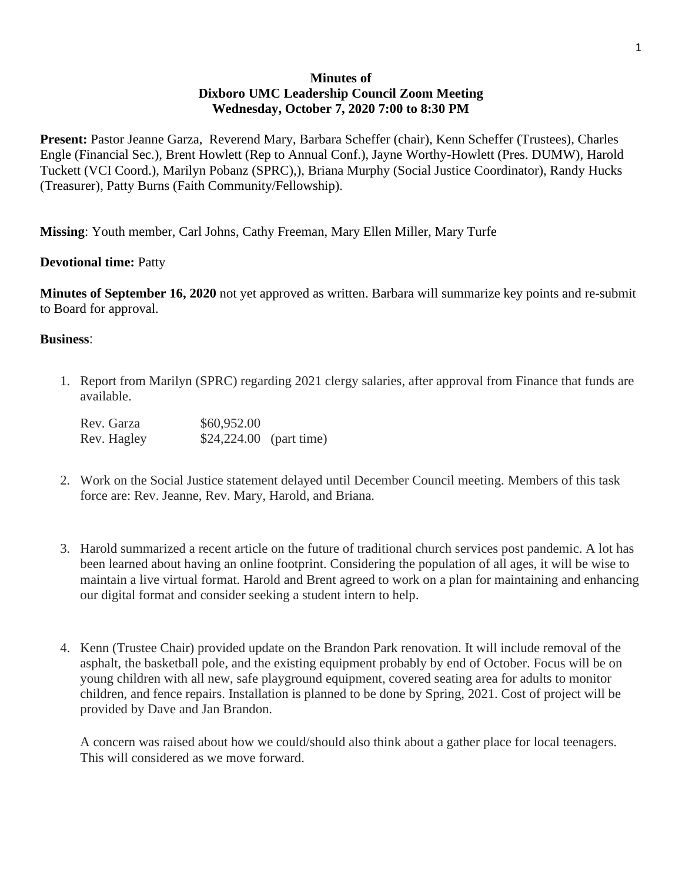# **Minutes of Dixboro UMC Leadership Council Zoom Meeting Wednesday, October 7, 2020 7:00 to 8:30 PM**

**Present:** Pastor Jeanne Garza, Reverend Mary, Barbara Scheffer (chair), Kenn Scheffer (Trustees), Charles Engle (Financial Sec.), Brent Howlett (Rep to Annual Conf.), Jayne Worthy-Howlett (Pres. DUMW), Harold Tuckett (VCI Coord.), Marilyn Pobanz (SPRC),), Briana Murphy (Social Justice Coordinator), Randy Hucks (Treasurer), Patty Burns (Faith Community/Fellowship).

**Missing**: Youth member, Carl Johns, Cathy Freeman, Mary Ellen Miller, Mary Turfe

# **Devotional time:** Patty

**Minutes of September 16, 2020** not yet approved as written. Barbara will summarize key points and re-submit to Board for approval.

### **Business**:

1. Report from Marilyn (SPRC) regarding 2021 clergy salaries, after approval from Finance that funds are available.

| Rev. Garza  | \$60,952.00              |  |
|-------------|--------------------------|--|
| Rev. Hagley | $$24,224.00$ (part time) |  |

- 2. Work on the Social Justice statement delayed until December Council meeting. Members of this task force are: Rev. Jeanne, Rev. Mary, Harold, and Briana.
- 3. Harold summarized a recent article on the future of traditional church services post pandemic. A lot has been learned about having an online footprint. Considering the population of all ages, it will be wise to maintain a live virtual format. Harold and Brent agreed to work on a plan for maintaining and enhancing our digital format and consider seeking a student intern to help.
- 4. Kenn (Trustee Chair) provided update on the Brandon Park renovation. It will include removal of the asphalt, the basketball pole, and the existing equipment probably by end of October. Focus will be on young children with all new, safe playground equipment, covered seating area for adults to monitor children, and fence repairs. Installation is planned to be done by Spring, 2021. Cost of project will be provided by Dave and Jan Brandon.

A concern was raised about how we could/should also think about a gather place for local teenagers. This will considered as we move forward.